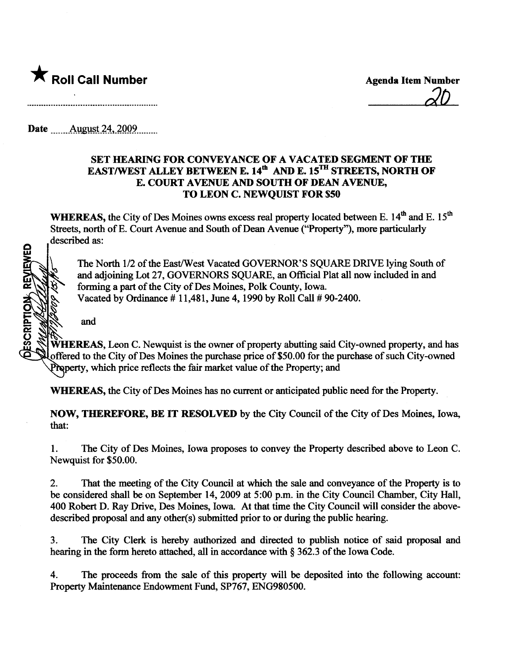

 $d\Omega$ 

Date ........Âll.g.t-i4..?QQ9.nmmo

and

## SET HEARING FOR CONVEYANCE OF A VACATED SEGMENT OF THE EAST/WEST ALLEY BETWEEN E.  $14<sup>th</sup>$  AND E.  $15<sup>TH</sup>$  STREETS, NORTH OF E. COURT AVENUE AND SOUTH OF DEAN AVENUE, TO LEON C. NEWQUIST FOR \$50

WHEREAS, the City of Des Moines owns excess real property located between E. 14<sup>th</sup> and E. 15<sup>th</sup> Streets, north of E. Court Avenue and South of Dean Avenue ("Property"), more particularly described as:

ESCRIPTION REVIEWED

The North 1/2 of the East/West Vacated GOVERNOR'S SQUARE DRIVE lying South of and adjoining Lot 27, GOVERNORS SOUARE, an Official Plat all now included in and forming a part of the City of Des Moines, Polk County, Iowa. Vacated by Ordinance  $# 11,481$ , June 4, 1990 by Roll Call  $# 90-2400$ .

**WHEREAS,** Leon C. Newquist is the owner of property abutting said City-owned property, and has offered to the City of Des Moines the purchae price of \$50.00 for the purchae of such City-owned Property, which price reflects the fair market value of the Property; and

WHEREAS, the City of Des Moines has no current or anticipated public need for the Property.

NOW, THEREFORE, BE IT RESOLVED by the City Council of the City of Des Moines, Iowa, that:

1. The City of Des Moines, Iowa proposes to convey the Property described above to Leon C. Newquist for \$50.00.

2. That the meeting of the City Council at which the sale and conveyance of the Property is to be considered shall be on September 14, 2009 at 5:00 p.m. in the City Council Chamber, City Hall, 400 Robert D. Ray Drive, Des Moines, Iowa. At that time the City Council will consider the abovedescribed proposal and any other(s) submitted prior to or during the public hearing.

3. The City Clerk is hereby authorized and directed to publish notice of said proposal and hearing in the form hereto attached, all in accordance with  $\S 362.3$  of the Iowa Code.

4. The proceeds from the sae of this property will be deposited into the following account: Property Maintenance Endowment Fund, SP767, ENG980500.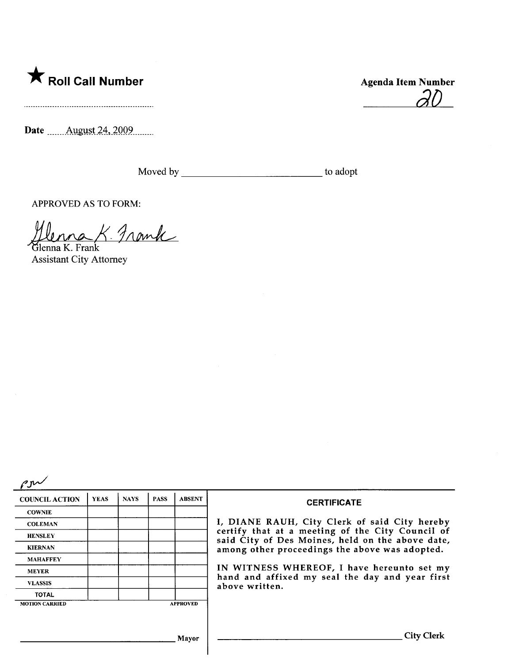

Date \_\_\_\_\_ August 24, 2009.

aD

Moved by to adopt

APPROVED AS TO FORM:

Hlenna K. Frank

Assistant City Attorney

| <b>COUNCIL ACTION</b> | <b>YEAS</b> | <b>NAYS</b> | <b>PASS</b> | <b>ABSENT</b>   | <b>CERTIFICATE</b>                                                                                                                                     |  |  |
|-----------------------|-------------|-------------|-------------|-----------------|--------------------------------------------------------------------------------------------------------------------------------------------------------|--|--|
| <b>COWNIE</b>         |             |             |             |                 |                                                                                                                                                        |  |  |
| <b>COLEMAN</b>        |             |             |             |                 | I, DIANE RAUH, City Clerk of said City hereby                                                                                                          |  |  |
| <b>HENSLEY</b>        |             |             |             |                 | certify that at a meeting of the City Council of<br>said City of Des Moines, held on the above date,<br>among other proceedings the above was adopted. |  |  |
| <b>KIERNAN</b>        |             |             |             |                 |                                                                                                                                                        |  |  |
| <b>MAHAFFEY</b>       |             |             |             |                 |                                                                                                                                                        |  |  |
| <b>MEYER</b>          |             |             |             |                 | IN WITNESS WHEREOF, I have hereunto set my<br>hand and affixed my seal the day and year first<br>above written.                                        |  |  |
| <b>VLASSIS</b>        |             |             |             |                 |                                                                                                                                                        |  |  |
| <b>TOTAL</b>          |             |             |             |                 |                                                                                                                                                        |  |  |
| <b>MOTION CARRIED</b> |             |             |             | <b>APPROVED</b> |                                                                                                                                                        |  |  |
|                       |             |             |             |                 |                                                                                                                                                        |  |  |
|                       |             |             |             | <b>Mayor</b>    | <b>City Clerk</b>                                                                                                                                      |  |  |